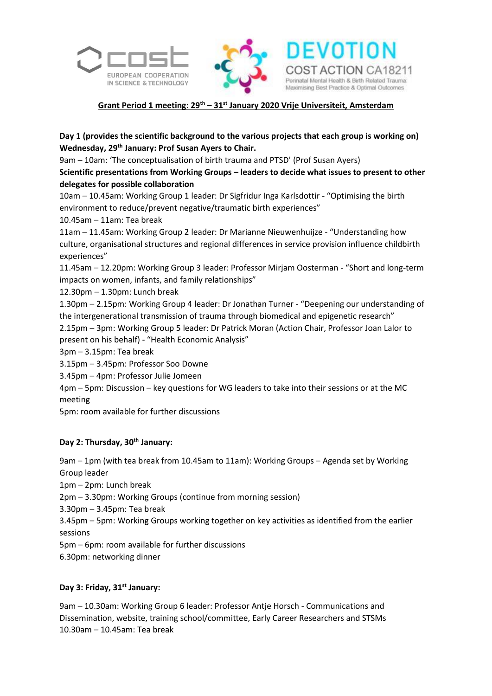





**ACTION CA18211** 

atal Mental Health & Birth Related Trauma

Maximising Best Practice & Optimal Outcomes

## **Day 1 (provides the scientific background to the various projects that each group is working on) Wednesday, 29th January: Prof Susan Ayers to Chair.**

9am – 10am: 'The conceptualisation of birth trauma and PTSD' (Prof Susan Ayers)

**Scientific presentations from Working Groups – leaders to decide what issues to present to other delegates for possible collaboration** 

10am – 10.45am: Working Group 1 leader: Dr Sigfridur Inga Karlsdottir - "Optimising the birth environment to reduce/prevent negative/traumatic birth experiences"

10.45am – 11am: Tea break

11am – 11.45am: Working Group 2 leader: Dr Marianne Nieuwenhuijze - "Understanding how culture, organisational structures and regional differences in service provision influence childbirth experiences"

11.45am – 12.20pm: Working Group 3 leader: Professor Mirjam Oosterman - "Short and long-term impacts on women, infants, and family relationships"

12.30pm – 1.30pm: Lunch break

1.30pm – 2.15pm: Working Group 4 leader: Dr Jonathan Turner - "Deepening our understanding of the intergenerational transmission of trauma through biomedical and epigenetic research"

2.15pm – 3pm: Working Group 5 leader: Dr Patrick Moran (Action Chair, Professor Joan Lalor to present on his behalf) - "Health Economic Analysis"

3pm – 3.15pm: Tea break

3.15pm – 3.45pm: Professor Soo Downe

3.45pm – 4pm: Professor Julie Jomeen

4pm – 5pm: Discussion – key questions for WG leaders to take into their sessions or at the MC meeting

5pm: room available for further discussions

## **Day 2: Thursday, 30th January:**

9am – 1pm (with tea break from 10.45am to 11am): Working Groups – Agenda set by Working Group leader

1pm – 2pm: Lunch break

2pm – 3.30pm: Working Groups (continue from morning session)

3.30pm – 3.45pm: Tea break

3.45pm – 5pm: Working Groups working together on key activities as identified from the earlier sessions

5pm – 6pm: room available for further discussions

6.30pm: networking dinner

## **Day 3: Friday, 31st January:**

9am – 10.30am: Working Group 6 leader: Professor Antje Horsch - Communications and Dissemination, website, training school/committee, Early Career Researchers and STSMs 10.30am – 10.45am: Tea break